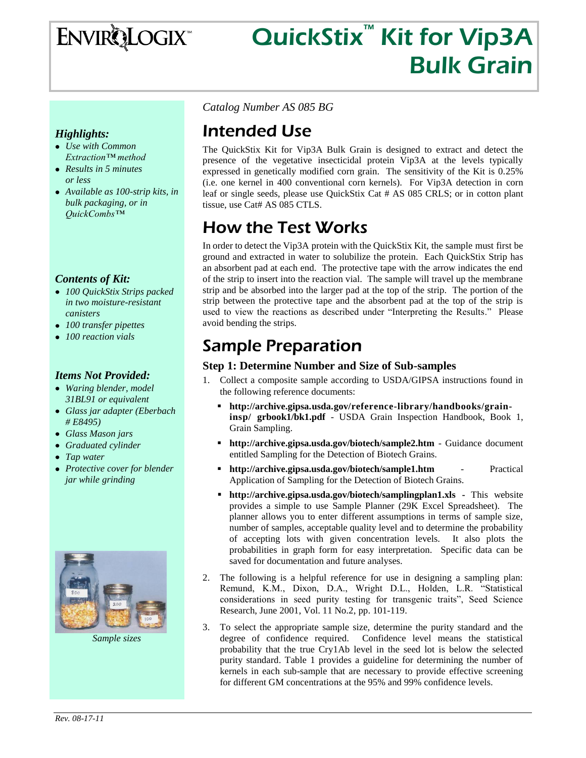ENVIRQLOGIX

# QuickStix<sup>™</sup> Kit for Vip3A Bulk Grain

### *Highlights:*

- *Use with Common Extraction™ method*
- *Results in 5 minutes or less*
- *Available as 100-strip kits, in bulk packaging, or in QuickCombs™*

### *Contents of Kit:*

- *100 QuickStix Strips packed in two moisture-resistant canisters*
- *100 transfer pipettes*
- *100 reaction vials*

### *Items Not Provided:*

- *Waring blender, model 31BL91 or equivalent*
- *Glass jar adapter (Eberbach # E8495)*
- *Glass Mason jars*
- *Graduated cylinder*
- *Tap water*
- *Protective cover for blender jar while grinding*



*Sample sizes*

*Catalog Number AS 085 BG*

# Intended Use

The QuickStix Kit for Vip3A Bulk Grain is designed to extract and detect the presence of the vegetative insecticidal protein Vip3A at the levels typically expressed in genetically modified corn grain. The sensitivity of the Kit is 0.25% (i.e. one kernel in 400 conventional corn kernels). For Vip3A detection in corn leaf or single seeds, please use QuickStix Cat # AS 085 CRLS; or in cotton plant tissue, use Cat# AS 085 CTLS.

# How the Test Works

In order to detect the Vip3A protein with the QuickStix Kit, the sample must first be ground and extracted in water to solubilize the protein. Each QuickStix Strip has an absorbent pad at each end. The protective tape with the arrow indicates the end of the strip to insert into the reaction vial. The sample will travel up the membrane strip and be absorbed into the larger pad at the top of the strip. The portion of the strip between the protective tape and the absorbent pad at the top of the strip is used to view the reactions as described under "Interpreting the Results." Please avoid bending the strips.

# Sample Preparation

### **Step 1: Determine Number and Size of Sub-samples**

- 1. Collect a composite sample according to USDA/GIPSA instructions found in the following reference documents:
	- **http://archive.gipsa.usda.gov/reference-library/handbooks/graininsp/ grbook1/bk1.pdf** - USDA Grain Inspection Handbook, Book 1, Grain Sampling.
	- **http://archive.gipsa.usda.gov/biotech/sample2.htm** Guidance document entitled Sampling for the Detection of Biotech Grains.
	- **http://archive.gipsa.usda.gov/biotech/sample1.htm** Practical Application of Sampling for the Detection of Biotech Grains.
	- **http://archive.gipsa.usda.gov/biotech/samplingplan1.xls -** This website provides a simple to use Sample Planner (29K Excel Spreadsheet). The planner allows you to enter different assumptions in terms of sample size, number of samples, acceptable quality level and to determine the probability of accepting lots with given concentration levels. It also plots the probabilities in graph form for easy interpretation. Specific data can be saved for documentation and future analyses.
- 2. The following is a helpful reference for use in designing a sampling plan: Remund, K.M., Dixon, D.A., Wright D.L., Holden, L.R. "Statistical considerations in seed purity testing for transgenic traits", Seed Science Research, June 2001, Vol. 11 No.2, pp. 101-119.
- 3. To select the appropriate sample size, determine the purity standard and the degree of confidence required. Confidence level means the statistical probability that the true Cry1Ab level in the seed lot is below the selected purity standard. Table 1 provides a guideline for determining the number of kernels in each sub-sample that are necessary to provide effective screening for different GM concentrations at the 95% and 99% confidence levels.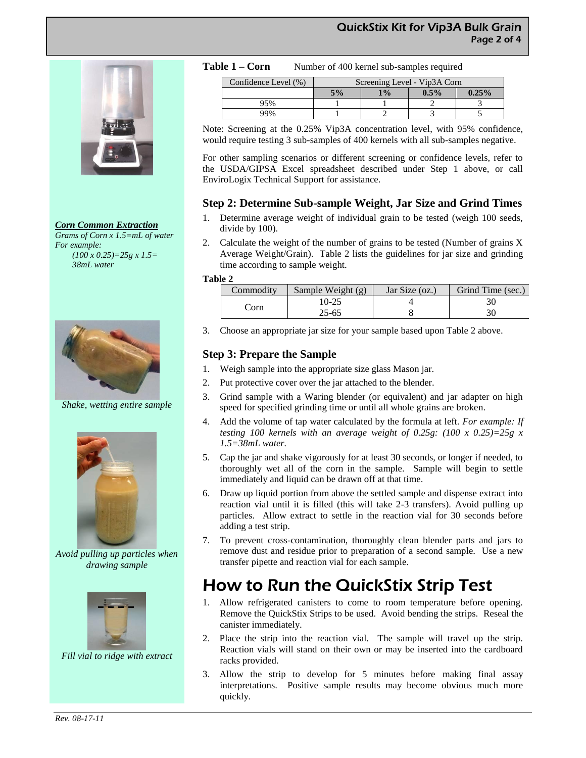

*Corn Common Extraction*

*Grams of Corn x 1.5=mL of water For example: (100 x 0.25)=25g x 1.5= 38mL water*



*Shake, wetting entire sample*



*Avoid pulling up particles when drawing sample*



*Fill vial to ridge with extract*

|  | Table 1 – Corn | Number of 400 kernel sub-samples required |
|--|----------------|-------------------------------------------|
|--|----------------|-------------------------------------------|

| Confidence Level (%) | Screening Level - Vip3A Corn |    |      |          |
|----------------------|------------------------------|----|------|----------|
|                      | 5%                           | 1% | 0.5% | $0.25\%$ |
| 95%                  |                              |    |      |          |
| 99%                  |                              |    |      |          |

Note: Screening at the 0.25% Vip3A concentration level, with 95% confidence, would require testing 3 sub-samples of 400 kernels with all sub-samples negative.

For other sampling scenarios or different screening or confidence levels, refer to the USDA/GIPSA Excel spreadsheet described under Step 1 above, or call EnviroLogix Technical Support for assistance.

## **Step 2: Determine Sub-sample Weight, Jar Size and Grind Times**

- 1. Determine average weight of individual grain to be tested (weigh 100 seeds, divide by 100).
- 2. Calculate the weight of the number of grains to be tested (Number of grains X Average Weight/Grain). Table 2 lists the guidelines for jar size and grinding time according to sample weight.

#### **Table 2**

| Commodity | Sample Weight (g) | Jar Size (oz.) | Grind Time (sec.) |
|-----------|-------------------|----------------|-------------------|
|           | 10-25             |                | 30                |
| .`orn     | $25 - 65$         |                | 30                |

3. Choose an appropriate jar size for your sample based upon Table 2 above.

## **Step 3: Prepare the Sample**

- 1. Weigh sample into the appropriate size glass Mason jar.
- 2. Put protective cover over the jar attached to the blender.
- 3. Grind sample with a Waring blender (or equivalent) and jar adapter on high speed for specified grinding time or until all whole grains are broken.
- 4. Add the volume of tap water calculated by the formula at left. *For example: If testing 100 kernels with an average weight of 0.25g: (100 x 0.25)=25g x 1.5=38mL water.*
- 5. Cap the jar and shake vigorously for at least 30 seconds, or longer if needed, to thoroughly wet all of the corn in the sample. Sample will begin to settle immediately and liquid can be drawn off at that time.
- 6. Draw up liquid portion from above the settled sample and dispense extract into reaction vial until it is filled (this will take 2-3 transfers). Avoid pulling up particles. Allow extract to settle in the reaction vial for 30 seconds before adding a test strip.
- 7. To prevent cross-contamination, thoroughly clean blender parts and jars to remove dust and residue prior to preparation of a second sample. Use a new transfer pipette and reaction vial for each sample.

# How to Run the QuickStix Strip Test

- 1. Allow refrigerated canisters to come to room temperature before opening. Remove the QuickStix Strips to be used. Avoid bending the strips. Reseal the canister immediately.
- 2. Place the strip into the reaction vial. The sample will travel up the strip. Reaction vials will stand on their own or may be inserted into the cardboard racks provided.
- 3. Allow the strip to develop for 5 minutes before making final assay interpretations. Positive sample results may become obvious much more quickly.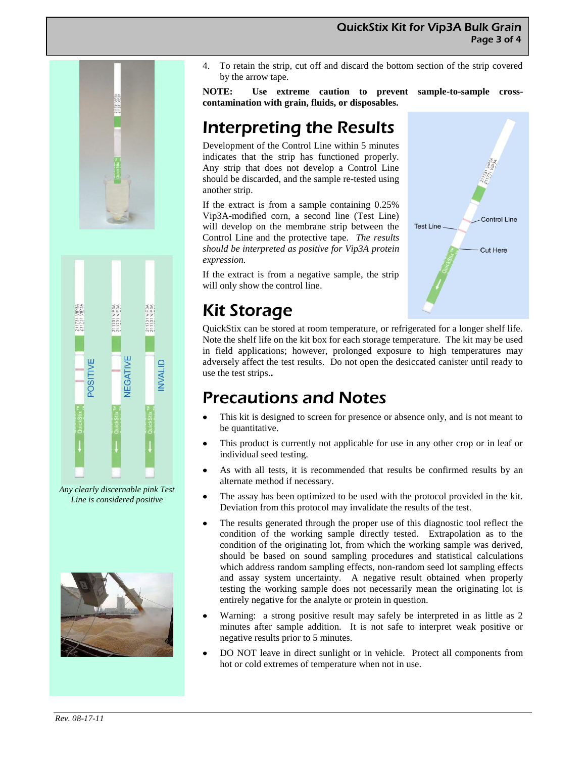



*Any clearly discernable pink Test Line is considered positive*



4. To retain the strip, cut off and discard the bottom section of the strip covered by the arrow tape.

**NOTE: Use extreme caution to prevent sample-to-sample crosscontamination with grain, fluids, or disposables.**

# Interpreting the Results

Development of the Control Line within 5 minutes indicates that the strip has functioned properly. Any strip that does not develop a Control Line should be discarded, and the sample re-tested using another strip.

If the extract is from a sample containing 0.25% Vip3A-modified corn, a second line (Test Line) will develop on the membrane strip between the Control Line and the protective tape. *The results should be interpreted as positive for Vip3A protein expression.*

If the extract is from a negative sample, the strip will only show the control line.

# Kit Storage

QuickStix can be stored at room temperature, or refrigerated for a longer shelf life. Note the shelf life on the kit box for each storage temperature. The kit may be used in field applications; however, prolonged exposure to high temperatures may adversely affect the test results. Do not open the desiccated canister until ready to use the test strips.**.**

# Precautions and Notes

- This kit is designed to screen for presence or absence only, and is not meant to be quantitative.
- This product is currently not applicable for use in any other crop or in leaf or individual seed testing.
- As with all tests, it is recommended that results be confirmed results by an alternate method if necessary.
- The assay has been optimized to be used with the protocol provided in the kit. Deviation from this protocol may invalidate the results of the test.
- The results generated through the proper use of this diagnostic tool reflect the condition of the working sample directly tested. Extrapolation as to the condition of the originating lot, from which the working sample was derived, should be based on sound sampling procedures and statistical calculations which address random sampling effects, non-random seed lot sampling effects and assay system uncertainty. A negative result obtained when properly testing the working sample does not necessarily mean the originating lot is entirely negative for the analyte or protein in question.
- Warning: a strong positive result may safely be interpreted in as little as 2 minutes after sample addition. It is not safe to interpret weak positive or negative results prior to 5 minutes.
- DO NOT leave in direct sunlight or in vehicle. Protect all components from hot or cold extremes of temperature when not in use.